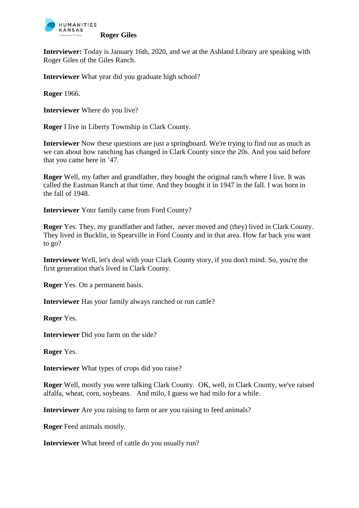

**Interviewer:** Today is January 16th, 2020, and we at the Ashland Library are speaking with Roger Giles of the Giles Ranch.

**Interviewer** What year did you graduate high school?

**Roger** 1966.

**Interviewer** Where do you live?

**Roger** I live in Liberty Township in Clark County.

**Interviewer** Now these questions are just a springboard. We're trying to find out as much as we can about how ranching has changed in Clark County since the 20s. And you said before that you came here in '47.

**Roger** Well, my father and grandfather, they bought the original ranch where I live. It was called the Eastman Ranch at that time. And they bought it in 1947 in the fall. I was born in the fall of 1948.

**Interviewer** Your family came from Ford County?

**Roger** Yes. They, my grandfather and father, never moved and (they) lived in Clark County. They lived in Bucklin, in Spearville in Ford County and in that area. How far back you want to go?

**Interviewer** Well, let's deal with your Clark County story, if you don't mind. So, you're the first generation that's lived in Clark County.

**Roger** Yes. On a permanent basis.

**Interviewer** Has your family always ranched or run cattle?

**Roger** Yes.

**Interviewer** Did you farm on the side?

**Roger** Yes.

**Interviewer** What types of crops did you raise?

**Roger** Well, mostly you were talking Clark County. OK, well, in Clark County, we've raised alfalfa, wheat, corn, soybeans. And milo, I guess we had milo for a while.

**Interviewer** Are you raising to farm or are you raising to feed animals?

**Roger** Feed animals mostly.

**Interviewer** What breed of cattle do you usually run?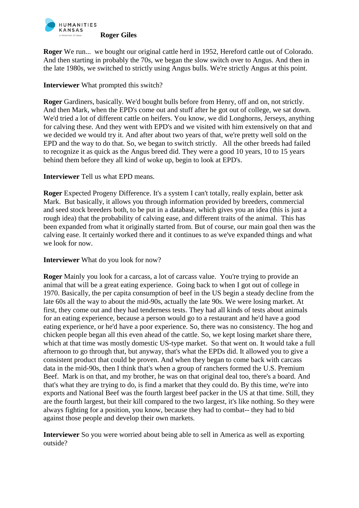

**Roger** We run... we bought our original cattle herd in 1952, Hereford cattle out of Colorado. And then starting in probably the 70s, we began the slow switch over to Angus. And then in the late 1980s, we switched to strictly using Angus bulls. We're strictly Angus at this point.

# **Interviewer** What prompted this switch?

**Roger** Gardiners, basically. We'd bought bulls before from Henry, off and on, not strictly. And then Mark, when the EPD's come out and stuff after he got out of college, we sat down. We'd tried a lot of different cattle on heifers. You know, we did Longhorns, Jerseys, anything for calving these. And they went with EPD's and we visited with him extensively on that and we decided we would try it. And after about two years of that, we're pretty well sold on the EPD and the way to do that. So, we began to switch strictly. All the other breeds had failed to recognize it as quick as the Angus breed did. They were a good 10 years, 10 to 15 years behind them before they all kind of woke up, begin to look at EPD's.

# **Interviewer** Tell us what EPD means.

**Roger** Expected Progeny Difference. It's a system I can't totally, really explain, better ask Mark. But basically, it allows you through information provided by breeders, commercial and seed stock breeders both, to be put in a database, which gives you an idea (this is just a rough idea) that the probability of calving ease, and different traits of the animal. This has been expanded from what it originally started from. But of course, our main goal then was the calving ease. It certainly worked there and it continues to as we've expanded things and what we look for now.

## **Interviewer** What do you look for now?

**Roger** Mainly you look for a carcass, a lot of carcass value. You're trying to provide an animal that will be a great eating experience. Going back to when I got out of college in 1970. Basically, the per capita consumption of beef in the US begin a steady decline from the late 60s all the way to about the mid-90s, actually the late 90s. We were losing market. At first, they come out and they had tenderness tests. They had all kinds of tests about animals for an eating experience, because a person would go to a restaurant and he'd have a good eating experience, or he'd have a poor experience. So, there was no consistency. The hog and chicken people began all this even ahead of the cattle. So, we kept losing market share there, which at that time was mostly domestic US-type market. So that went on. It would take a full afternoon to go through that, but anyway, that's what the EPDs did. It allowed you to give a consistent product that could be proven. And when they began to come back with carcass data in the mid-90s, then I think that's when a group of ranchers formed the U.S. Premium Beef. Mark is on that, and my brother, he was on that original deal too, there's a board. And that's what they are trying to do, is find a market that they could do. By this time, we're into exports and National Beef was the fourth largest beef packer in the US at that time. Still, they are the fourth largest, but their kill compared to the two largest, it's like nothing. So they were always fighting for a position, you know, because they had to combat-- they had to bid against those people and develop their own markets.

**Interviewer** So you were worried about being able to sell in America as well as exporting outside?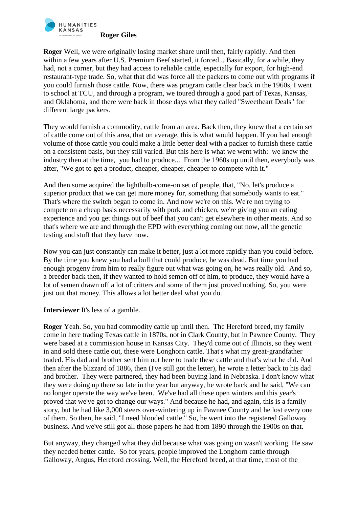

**Roger** Well, we were originally losing market share until then, fairly rapidly. And then within a few years after U.S. Premium Beef started, it forced... Basically, for a while, they had, not a corner, but they had access to reliable cattle, especially for export, for high-end restaurant-type trade. So, what that did was force all the packers to come out with programs if you could furnish those cattle. Now, there was program cattle clear back in the 1960s, I went to school at TCU, and through a program, we toured through a good part of Texas, Kansas, and Oklahoma, and there were back in those days what they called "Sweetheart Deals" for different large packers.

They would furnish a commodity, cattle from an area. Back then, they knew that a certain set of cattle come out of this area, that on average, this is what would happen. If you had enough volume of those cattle you could make a little better deal with a packer to furnish these cattle on a consistent basis, but they still varied. But this here is what we went with: we knew the industry then at the time, you had to produce... From the 1960s up until then, everybody was after, "We got to get a product, cheaper, cheaper, cheaper to compete with it."

And then some acquired the lightbulb-come-on set of people, that, "No, let's produce a superior product that we can get more money for, something that somebody wants to eat." That's where the switch began to come in. And now we're on this. We're not trying to compete on a cheap basis necessarily with pork and chicken, we're giving you an eating experience and you get things out of beef that you can't get elsewhere in other meats. And so that's where we are and through the EPD with everything coming out now, all the genetic testing and stuff that they have now.

Now you can just constantly can make it better, just a lot more rapidly than you could before. By the time you knew you had a bull that could produce, he was dead. But time you had enough progeny from him to really figure out what was going on, he was really old. And so, a breeder back then, if they wanted to hold semen off of him, to produce, they would have a lot of semen drawn off a lot of critters and some of them just proved nothing. So, you were just out that money. This allows a lot better deal what you do.

**Interviewer** It's less of a gamble.

**Roger** Yeah. So, you had commodity cattle up until then. The Hereford breed, my family come in here trading Texas cattle in 1870s, not in Clark County, but in Pawnee County. They were based at a commission house in Kansas City. They'd come out of Illinois, so they went in and sold these cattle out, these were Longhorn cattle. That's what my great-grandfather traded. His dad and brother sent him out here to trade these cattle and that's what he did. And then after the blizzard of 1886, then (I've still got the letter), he wrote a letter back to his dad and brother. They were partnered, they had been buying land in Nebraska. I don't know what they were doing up there so late in the year but anyway, he wrote back and he said, "We can no longer operate the way we've been. We've had all these open winters and this year's proved that we've got to change our ways." And because he had, and again, this is a family story, but he had like 3,000 steers over-wintering up in Pawnee County and he lost every one of them. So then, he said, "I need blooded cattle." So, he went into the registered Galloway business. And we've still got all those papers he had from 1890 through the 1900s on that.

But anyway, they changed what they did because what was going on wasn't working. He saw they needed better cattle. So for years, people improved the Longhorn cattle through Galloway, Angus, Hereford crossing. Well, the Hereford breed, at that time, most of the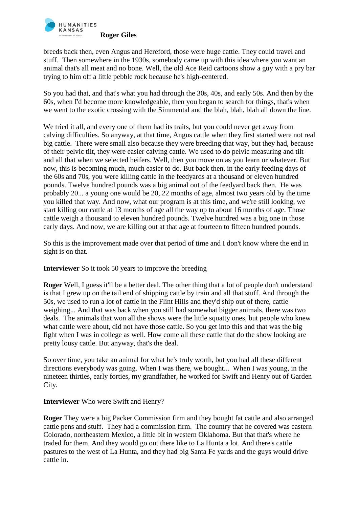

breeds back then, even Angus and Hereford, those were huge cattle. They could travel and stuff. Then somewhere in the 1930s, somebody came up with this idea where you want an animal that's all meat and no bone. Well, the old Ace Reid cartoons show a guy with a pry bar trying to him off a little pebble rock because he's high-centered.

So you had that, and that's what you had through the 30s, 40s, and early 50s. And then by the 60s, when I'd become more knowledgeable, then you began to search for things, that's when we went to the exotic crossing with the Simmental and the blah, blah, blah all down the line.

We tried it all, and every one of them had its traits, but you could never get away from calving difficulties. So anyway, at that time, Angus cattle when they first started were not real big cattle. There were small also because they were breeding that way, but they had, because of their pelvic tilt, they were easier calving cattle. We used to do pelvic measuring and tilt and all that when we selected heifers. Well, then you move on as you learn or whatever. But now, this is becoming much, much easier to do. But back then, in the early feeding days of the 60s and 70s, you were killing cattle in the feedyards at a thousand or eleven hundred pounds. Twelve hundred pounds was a big animal out of the feedyard back then. He was probably 20... a young one would be 20, 22 months of age, almost two years old by the time you killed that way. And now, what our program is at this time, and we're still looking, we start killing our cattle at 13 months of age all the way up to about 16 months of age. Those cattle weigh a thousand to eleven hundred pounds. Twelve hundred was a big one in those early days. And now, we are killing out at that age at fourteen to fifteen hundred pounds.

So this is the improvement made over that period of time and I don't know where the end in sight is on that.

**Interviewer** So it took 50 years to improve the breeding

**Roger** Well, I guess it'll be a better deal. The other thing that a lot of people don't understand is that I grew up on the tail end of shipping cattle by train and all that stuff. And through the 50s, we used to run a lot of cattle in the Flint Hills and they'd ship out of there, cattle weighing... And that was back when you still had somewhat bigger animals, there was two deals. The animals that won all the shows were the little squatty ones, but people who knew what cattle were about, did not have those cattle. So you get into this and that was the big fight when I was in college as well. How come all these cattle that do the show looking are pretty lousy cattle. But anyway, that's the deal.

So over time, you take an animal for what he's truly worth, but you had all these different directions everybody was going. When I was there, we bought... When I was young, in the nineteen thirties, early forties, my grandfather, he worked for Swift and Henry out of Garden City.

## **Interviewer** Who were Swift and Henry?

**Roger** They were a big Packer Commission firm and they bought fat cattle and also arranged cattle pens and stuff. They had a commission firm. The country that he covered was eastern Colorado, northeastern Mexico, a little bit in western Oklahoma. But that that's where he traded for them. And they would go out there like to La Hunta a lot. And there's cattle pastures to the west of La Hunta, and they had big Santa Fe yards and the guys would drive cattle in.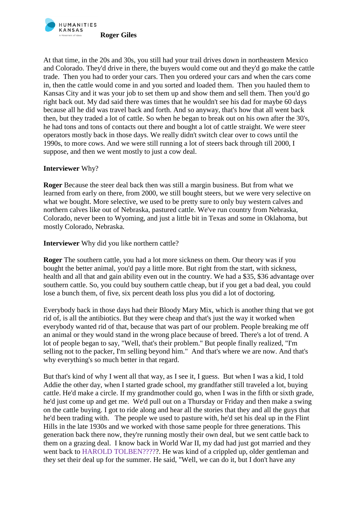

At that time, in the 20s and 30s, you still had your trail drives down in northeastern Mexico and Colorado. They'd drive in there, the buyers would come out and they'd go make the cattle trade. Then you had to order your cars. Then you ordered your cars and when the cars come in, then the cattle would come in and you sorted and loaded them. Then you hauled them to Kansas City and it was your job to set them up and show them and sell them. Then you'd go right back out. My dad said there was times that he wouldn't see his dad for maybe 60 days because all he did was travel back and forth. And so anyway, that's how that all went back then, but they traded a lot of cattle. So when he began to break out on his own after the 30's, he had tons and tons of contacts out there and bought a lot of cattle straight. We were steer operators mostly back in those days. We really didn't switch clear over to cows until the 1990s, to more cows. And we were still running a lot of steers back through till 2000, I suppose, and then we went mostly to just a cow deal.

## **Interviewer** Why?

**Roger** Because the steer deal back then was still a margin business. But from what we learned from early on there, from 2000, we still bought steers, but we were very selective on what we bought. More selective, we used to be pretty sure to only buy western calves and northern calves like out of Nebraska, pastured cattle. We've run country from Nebraska, Colorado, never been to Wyoming, and just a little bit in Texas and some in Oklahoma, but mostly Colorado, Nebraska.

**Interviewer** Why did you like northern cattle?

**Roger** The southern cattle, you had a lot more sickness on them. Our theory was if you bought the better animal, you'd pay a little more. But right from the start, with sickness, health and all that and gain ability even out in the country. We had a \$35, \$36 advantage over southern cattle. So, you could buy southern cattle cheap, but if you get a bad deal, you could lose a bunch them, of five, six percent death loss plus you did a lot of doctoring.

Everybody back in those days had their Bloody Mary Mix, which is another thing that we got rid of, is all the antibiotics. But they were cheap and that's just the way it worked when everybody wanted rid of that, because that was part of our problem. People breaking me off an animal or they would stand in the wrong place because of breed. There's a lot of trend. A lot of people began to say, "Well, that's their problem." But people finally realized, "I'm selling not to the packer, I'm selling beyond him." And that's where we are now. And that's why everything's so much better in that regard.

But that's kind of why I went all that way, as I see it, I guess. But when I was a kid, I told Addie the other day, when I started grade school, my grandfather still traveled a lot, buying cattle. He'd make a circle. If my grandmother could go, when I was in the fifth or sixth grade, he'd just come up and get me. We'd pull out on a Thursday or Friday and then make a swing on the cattle buying. I got to ride along and hear all the stories that they and all the guys that he'd been trading with. The people we used to pasture with, he'd set his deal up in the Flint Hills in the late 1930s and we worked with those same people for three generations. This generation back there now, they're running mostly their own deal, but we sent cattle back to them on a grazing deal. I know back in World War II, my dad had just got married and they went back to HAROLD TOLBEN?????. He was kind of a crippled up, older gentleman and they set their deal up for the summer. He said, "Well, we can do it, but I don't have any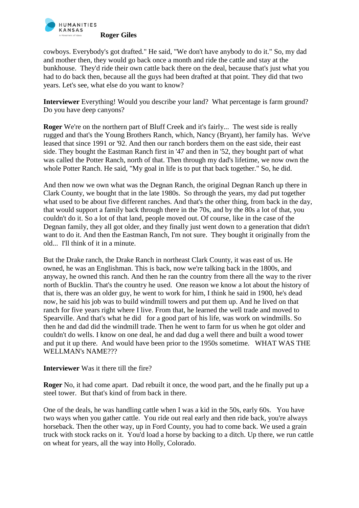

cowboys. Everybody's got drafted." He said, "We don't have anybody to do it." So, my dad and mother then, they would go back once a month and ride the cattle and stay at the bunkhouse. They'd ride their own cattle back there on the deal, because that's just what you had to do back then, because all the guys had been drafted at that point. They did that two years. Let's see, what else do you want to know?

**Interviewer** Everything! Would you describe your land? What percentage is farm ground? Do you have deep canyons?

**Roger** We're on the northern part of Bluff Creek and it's fairly... The west side is really rugged and that's the Young Brothers Ranch, which, Nancy (Bryant), her family has. We've leased that since 1991 or '92. And then our ranch borders them on the east side, their east side. They bought the Eastman Ranch first in '47 and then in '52, they bought part of what was called the Potter Ranch, north of that. Then through my dad's lifetime, we now own the whole Potter Ranch. He said, "My goal in life is to put that back together." So, he did.

And then now we own what was the Degnan Ranch, the original Degnan Ranch up there in Clark County, we bought that in the late 1980s. So through the years, my dad put together what used to be about five different ranches. And that's the other thing, from back in the day, that would support a family back through there in the 70s, and by the 80s a lot of that, you couldn't do it. So a lot of that land, people moved out. Of course, like in the case of the Degnan family, they all got older, and they finally just went down to a generation that didn't want to do it. And then the Eastman Ranch, I'm not sure. They bought it originally from the old... I'll think of it in a minute.

But the Drake ranch, the Drake Ranch in northeast Clark County, it was east of us. He owned, he was an Englishman. This is back, now we're talking back in the 1800s, and anyway, he owned this ranch. And then he ran the country from there all the way to the river north of Bucklin. That's the country he used. One reason we know a lot about the history of that is, there was an older guy, he went to work for him, I think he said in 1900, he's dead now, he said his job was to build windmill towers and put them up. And he lived on that ranch for five years right where I live. From that, he learned the well trade and moved to Spearville. And that's what he did for a good part of his life, was work on windmills. So then he and dad did the windmill trade. Then he went to farm for us when he got older and couldn't do wells. I know on one deal, he and dad dug a well there and built a wood tower and put it up there. And would have been prior to the 1950s sometime. WHAT WAS THE WELLMAN's NAME???

#### **Interviewer** Was it there till the fire?

**Roger** No, it had come apart. Dad rebuilt it once, the wood part, and the he finally put up a steel tower. But that's kind of from back in there.

One of the deals, he was handling cattle when I was a kid in the 50s, early 60s. You have two ways when you gather cattle. You ride out real early and then ride back, you're always horseback. Then the other way, up in Ford County, you had to come back. We used a grain truck with stock racks on it. You'd load a horse by backing to a ditch. Up there, we run cattle on wheat for years, all the way into Holly, Colorado.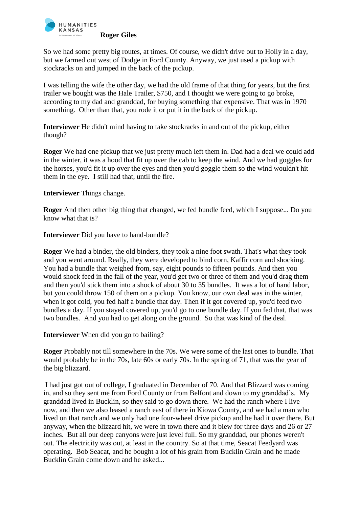

So we had some pretty big routes, at times. Of course, we didn't drive out to Holly in a day, but we farmed out west of Dodge in Ford County. Anyway, we just used a pickup with stockracks on and jumped in the back of the pickup.

I was telling the wife the other day, we had the old frame of that thing for years, but the first trailer we bought was the Hale Trailer, \$750, and I thought we were going to go broke, according to my dad and granddad, for buying something that expensive. That was in 1970 something. Other than that, you rode it or put it in the back of the pickup.

**Interviewer** He didn't mind having to take stockracks in and out of the pickup, either though?

**Roger** We had one pickup that we just pretty much left them in. Dad had a deal we could add in the winter, it was a hood that fit up over the cab to keep the wind. And we had goggles for the horses, you'd fit it up over the eyes and then you'd goggle them so the wind wouldn't hit them in the eye. I still had that, until the fire.

**Interviewer** Things change.

**Roger** And then other big thing that changed, we fed bundle feed, which I suppose... Do you know what that is?

**Interviewer** Did you have to hand-bundle?

**Roger** We had a binder, the old binders, they took a nine foot swath. That's what they took and you went around. Really, they were developed to bind corn, Kaffir corn and shocking. You had a bundle that weighed from, say, eight pounds to fifteen pounds. And then you would shock feed in the fall of the year, you'd get two or three of them and you'd drag them and then you'd stick them into a shock of about 30 to 35 bundles. It was a lot of hand labor, but you could throw 150 of them on a pickup. You know, our own deal was in the winter, when it got cold, you fed half a bundle that day. Then if it got covered up, you'd feed two bundles a day. If you stayed covered up, you'd go to one bundle day. If you fed that, that was two bundles. And you had to get along on the ground. So that was kind of the deal.

**Interviewer** When did you go to bailing?

**Roger** Probably not till somewhere in the 70s. We were some of the last ones to bundle. That would probably be in the 70s, late 60s or early 70s. In the spring of 71, that was the year of the big blizzard.

I had just got out of college, I graduated in December of 70. And that Blizzard was coming in, and so they sent me from Ford County or from Belfont and down to my granddad's. My granddad lived in Bucklin, so they said to go down there. We had the ranch where I live now, and then we also leased a ranch east of there in Kiowa County, and we had a man who lived on that ranch and we only had one four-wheel drive pickup and he had it over there. But anyway, when the blizzard hit, we were in town there and it blew for three days and 26 or 27 inches. But all our deep canyons were just level full. So my granddad, our phones weren't out. The electricity was out, at least in the country. So at that time, Seacat Feedyard was operating. Bob Seacat, and he bought a lot of his grain from Bucklin Grain and he made Bucklin Grain come down and he asked...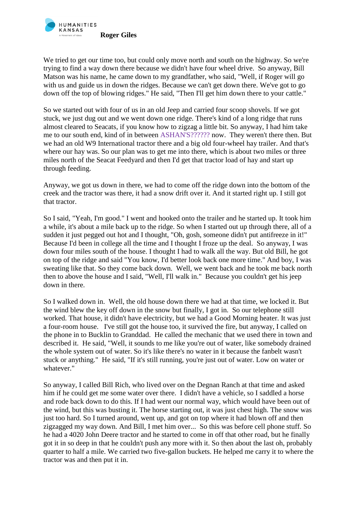

We tried to get our time too, but could only move north and south on the highway. So we're trying to find a way down there because we didn't have four wheel drive. So anyway, Bill Matson was his name, he came down to my grandfather, who said, "Well, if Roger will go with us and guide us in down the ridges. Because we can't get down there. We've got to go down off the top of blowing ridges." He said, "Then I'll get him down there to your cattle."

So we started out with four of us in an old Jeep and carried four scoop shovels. If we got stuck, we just dug out and we went down one ridge. There's kind of a long ridge that runs almost cleared to Seacats, if you know how to zigzag a little bit. So anyway, I had him take me to our south end, kind of in between ASHAN'S?????? now. They weren't there then. But we had an old W9 International tractor there and a big old four-wheel hay trailer. And that's where our hay was. So our plan was to get me into there, which is about two miles or three miles north of the Seacat Feedyard and then I'd get that tractor load of hay and start up through feeding.

Anyway, we got us down in there, we had to come off the ridge down into the bottom of the creek and the tractor was there, it had a snow drift over it. And it started right up. I still got that tractor.

So I said, "Yeah, I'm good." I went and hooked onto the trailer and he started up. It took him a while, it's about a mile back up to the ridge. So when I started out up through there, all of a sudden it just pegged out hot and I thought, "Oh, gosh, someone didn't put antifreeze in it!" Because I'd been in college all the time and I thought I froze up the deal. So anyway, I was down four miles south of the house. I thought I had to walk all the way. But old Bill, he got on top of the ridge and said "You know, I'd better look back one more time." And boy, I was sweating like that. So they come back down. Well, we went back and he took me back north then to above the house and I said, "Well, I'll walk in." Because you couldn't get his jeep down in there.

So I walked down in. Well, the old house down there we had at that time, we locked it. But the wind blew the key off down in the snow but finally, I got in. So our telephone still worked. That house, it didn't have electricity, but we had a Good Morning heater. It was just a four-room house. I've still got the house too, it survived the fire, but anyway, I called on the phone in to Bucklin to Granddad. He called the mechanic that we used there in town and described it. He said, "Well, it sounds to me like you're out of water, like somebody drained the whole system out of water. So it's like there's no water in it because the fanbelt wasn't stuck or anything." He said, "If it's still running, you're just out of water. Low on water or whatever."

So anyway, I called Bill Rich, who lived over on the Degnan Ranch at that time and asked him if he could get me some water over there. I didn't have a vehicle, so I saddled a horse and rode back down to do this. If I had went our normal way, which would have been out of the wind, but this was busting it. The horse starting out, it was just chest high. The snow was just too hard. So I turned around, went up, and got on top where it had blown off and then zigzagged my way down. And Bill, I met him over... So this was before cell phone stuff. So he had a 4020 John Deere tractor and he started to come in off that other road, but he finally got it in so deep in that he couldn't push any more with it. So then about the last oh, probably quarter to half a mile. We carried two five-gallon buckets. He helped me carry it to where the tractor was and then put it in.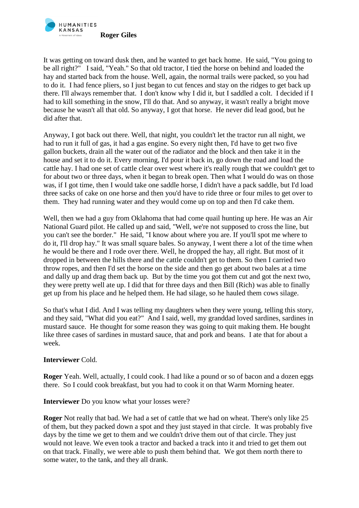

It was getting on toward dusk then, and he wanted to get back home. He said, "You going to be all right?" I said, "Yeah." So that old tractor, I tied the horse on behind and loaded the hay and started back from the house. Well, again, the normal trails were packed, so you had to do it. I had fence pliers, so I just began to cut fences and stay on the ridges to get back up there. I'll always remember that. I don't know why I did it, but I saddled a colt. I decided if I had to kill something in the snow, I'll do that. And so anyway, it wasn't really a bright move because he wasn't all that old. So anyway, I got that horse. He never did lead good, but he did after that.

Anyway, I got back out there. Well, that night, you couldn't let the tractor run all night, we had to run it full of gas, it had a gas engine. So every night then, I'd have to get two five gallon buckets, drain all the water out of the radiator and the block and then take it in the house and set it to do it. Every morning, I'd pour it back in, go down the road and load the cattle hay. I had one set of cattle clear over west where it's really rough that we couldn't get to for about two or three days, when it began to break open. Then what I would do was on those was, if I got time, then I would take one saddle horse, I didn't have a pack saddle, but I'd load three sacks of cake on one horse and then you'd have to ride three or four miles to get over to them. They had running water and they would come up on top and then I'd cake them.

Well, then we had a guy from Oklahoma that had come quail hunting up here. He was an Air National Guard pilot. He called up and said, "Well, we're not supposed to cross the line, but you can't see the border." He said, "I know about where you are. If you'll spot me where to do it, I'll drop hay." It was small square bales. So anyway, I went there a lot of the time when he would be there and I rode over there. Well, he dropped the hay, all right. But most of it dropped in between the hills there and the cattle couldn't get to them. So then I carried two throw ropes, and then I'd set the horse on the side and then go get about two bales at a time and dally up and drag them back up. But by the time you got them cut and got the next two, they were pretty well ate up. I did that for three days and then Bill (Rich) was able to finally get up from his place and he helped them. He had silage, so he hauled them cows silage.

So that's what I did. And I was telling my daughters when they were young, telling this story, and they said, "What did you eat?" And I said, well, my granddad loved sardines, sardines in mustard sauce. He thought for some reason they was going to quit making them. He bought like three cases of sardines in mustard sauce, that and pork and beans. I ate that for about a week.

## **Interviewer** Cold.

**Roger** Yeah. Well, actually, I could cook. I had like a pound or so of bacon and a dozen eggs there. So I could cook breakfast, but you had to cook it on that Warm Morning heater.

**Interviewer** Do you know what your losses were?

**Roger** Not really that bad. We had a set of cattle that we had on wheat. There's only like 25 of them, but they packed down a spot and they just stayed in that circle. It was probably five days by the time we get to them and we couldn't drive them out of that circle. They just would not leave. We even took a tractor and backed a track into it and tried to get them out on that track. Finally, we were able to push them behind that. We got them north there to some water, to the tank, and they all drank.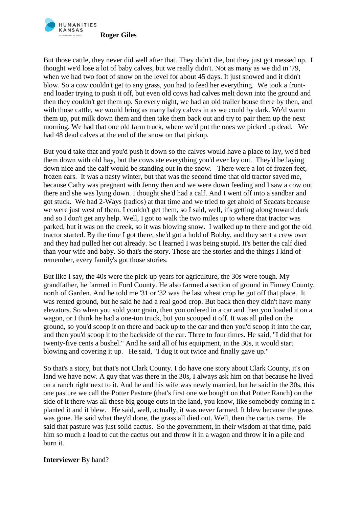

But those cattle, they never did well after that. They didn't die, but they just got messed up. I thought we'd lose a lot of baby calves, but we really didn't. Not as many as we did in '79, when we had two foot of snow on the level for about 45 days. It just snowed and it didn't blow. So a cow couldn't get to any grass, you had to feed her everything. We took a frontend loader trying to push it off, but even old cows had calves melt down into the ground and then they couldn't get them up. So every night, we had an old trailer house there by then, and with those cattle, we would bring as many baby calves in as we could by dark. We'd warm them up, put milk down them and then take them back out and try to pair them up the next morning. We had that one old farm truck, where we'd put the ones we picked up dead. We had 48 dead calves at the end of the snow on that pickup.

But you'd take that and you'd push it down so the calves would have a place to lay, we'd bed them down with old hay, but the cows ate everything you'd ever lay out. They'd be laying down nice and the calf would be standing out in the snow. There were a lot of frozen feet, frozen ears. It was a nasty winter, but that was the second time that old tractor saved me, because Cathy was pregnant with Jenny then and we were down feeding and I saw a cow out there and she was lying down. I thought she'd had a calf. And I went off into a sandbar and got stuck. We had 2-Ways (radios) at that time and we tried to get ahold of Seacats because we were just west of them. I couldn't get them, so I said, well, it's getting along toward dark and so I don't get any help. Well, I got to walk the two miles up to where that tractor was parked, but it was on the creek, so it was blowing snow. I walked up to there and got the old tractor started. By the time I got there, she'd got a hold of Bobby, and they sent a crew over and they had pulled her out already. So I learned I was being stupid. It's better the calf died than your wife and baby. So that's the story. Those are the stories and the things I kind of remember, every family's got those stories.

But like I say, the 40s were the pick-up years for agriculture, the 30s were tough. My grandfather, he farmed in Ford County. He also farmed a section of ground in Finney County, north of Garden. And he told me '31 or '32 was the last wheat crop he got off that place. It was rented ground, but he said he had a real good crop. But back then they didn't have many elevators. So when you sold your grain, then you ordered in a car and then you loaded it on a wagon, or I think he had a one-ton truck, but you scooped it off. It was all piled on the ground, so you'd scoop it on there and back up to the car and then you'd scoop it into the car, and then you'd scoop it to the backside of the car. Three to four times. He said, "I did that for twenty-five cents a bushel." And he said all of his equipment, in the 30s, it would start blowing and covering it up. He said, "I dug it out twice and finally gave up."

So that's a story, but that's not Clark County. I do have one story about Clark County, it's on land we have now. A guy that was there in the 30s, I always ask him on that because he lived on a ranch right next to it. And he and his wife was newly married, but he said in the 30s, this one pasture we call the Potter Pasture (that's first one we bought on that Potter Ranch) on the side of it there was all these big gouge outs in the land, you know, like somebody coming in a planted it and it blew. He said, well, actually, it was never farmed. It blew because the grass was gone. He said what they'd done, the grass all died out. Well, then the cactus came. He said that pasture was just solid cactus. So the government, in their wisdom at that time, paid him so much a load to cut the cactus out and throw it in a wagon and throw it in a pile and burn it.

## **Interviewer** By hand?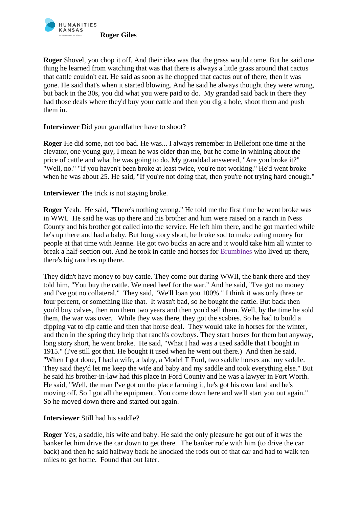

**Roger** Shovel, you chop it off. And their idea was that the grass would come. But he said one thing he learned from watching that was that there is always a little grass around that cactus that cattle couldn't eat. He said as soon as he chopped that cactus out of there, then it was gone. He said that's when it started blowing. And he said he always thought they were wrong, but back in the 30s, you did what you were paid to do. My grandad said back in there they had those deals where they'd buy your cattle and then you dig a hole, shoot them and push them in.

## **Interviewer** Did your grandfather have to shoot?

**Roger** He did some, not too bad. He was... I always remember in Bellefont one time at the elevator, one young guy, I mean he was older than me, but he come in whining about the price of cattle and what he was going to do. My granddad answered, "Are you broke it?" "Well, no." "If you haven't been broke at least twice, you're not working." He'd went broke when he was about 25. He said, "If you're not doing that, then you're not trying hard enough."

**Interviewer** The trick is not staying broke.

**Roger** Yeah. He said, "There's nothing wrong." He told me the first time he went broke was in WWI. He said he was up there and his brother and him were raised on a ranch in Ness County and his brother got called into the service. He left him there, and he got married while he's up there and had a baby. But long story short, he broke sod to make eating money for people at that time with Jeanne. He got two bucks an acre and it would take him all winter to break a half-section out. And he took in cattle and horses for Brumbines who lived up there, there's big ranches up there.

They didn't have money to buy cattle. They come out during WWII, the bank there and they told him, "You buy the cattle. We need beef for the war." And he said, "I've got no money and I've got no collateral." They said, "We'll loan you 100%." I think it was only three or four percent, or something like that. It wasn't bad, so he bought the cattle. But back then you'd buy calves, then run them two years and then you'd sell them. Well, by the time he sold them, the war was over. While they was there, they got the scabies. So he had to build a dipping vat to dip cattle and then that horse deal. They would take in horses for the winter, and then in the spring they help that ranch's cowboys. They start horses for them but anyway, long story short, he went broke. He said, "What I had was a used saddle that I bought in 1915." (I've still got that. He bought it used when he went out there.) And then he said, "When I got done, I had a wife, a baby, a Model T Ford, two saddle horses and my saddle. They said they'd let me keep the wife and baby and my saddle and took everything else." But he said his brother-in-law had this place in Ford County and he was a lawyer in Fort Worth. He said, "Well, the man I've got on the place farming it, he's got his own land and he's moving off. So I got all the equipment. You come down here and we'll start you out again." So he moved down there and started out again.

## **Interviewer** Still had his saddle?

**Roger** Yes, a saddle, his wife and baby. He said the only pleasure he got out of it was the banker let him drive the car down to get there. The banker rode with him (to drive the car back) and then he said halfway back he knocked the rods out of that car and had to walk ten miles to get home. Found that out later.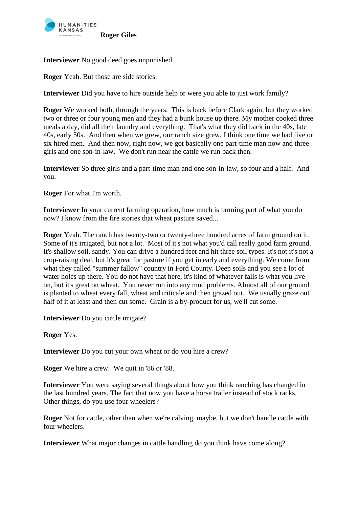

**Interviewer** No good deed goes unpunished.

**Roger** Yeah. But those are side stories.

**Interviewer** Did you have to hire outside help or were you able to just work family?

**Roger** We worked both, through the years. This is back before Clark again, but they worked two or three or four young men and they had a bunk house up there. My mother cooked three meals a day, did all their laundry and everything. That's what they did back in the 40s, late 40s, early 50s. And then when we grew, our ranch size grew, I think one time we had five or six hired men. And then now, right now, we got basically one part-time man now and three girls and one son-in-law. We don't run near the cattle we run back then.

**Interviewer** So three girls and a part-time man and one son-in-law, so four and a half. And you.

**Roger** For what I'm worth.

**Interviewer** In your current farming operation, how much is farming part of what you do now? I know from the fire stories that wheat pasture saved...

**Roger** Yeah. The ranch has twenty-two or twenty-three hundred acres of farm ground on it. Some of it's irrigated, but not a lot. Most of it's not what you'd call really good farm ground. It's shallow soil, sandy. You can drive a hundred feet and hit three soil types. It's not it's not a crop-raising deal, but it's great for pasture if you get in early and everything. We come from what they called "summer fallow" country in Ford County. Deep soils and you see a lot of water holes up there. You do not have that here, it's kind of whatever falls is what you live on, but it's great on wheat. You never run into any mud problems. Almost all of our ground is planted to wheat every fall, wheat and triticale and then grazed out. We usually graze out half of it at least and then cut some. Grain is a by-product for us, we'll cut some.

**Interviewer** Do you circle irrigate?

**Roger** Yes.

**Interviewer** Do you cut your own wheat or do you hire a crew?

**Roger** We hire a crew. We quit in '86 or '88.

**Interviewer** You were saying several things about how you think ranching has changed in the last hundred years. The fact that now you have a horse trailer instead of stock racks. Other things, do you use four wheelers?

**Roger** Not for cattle, other than when we're calving, maybe, but we don't handle cattle with four wheelers.

**Interviewer** What major changes in cattle handling do you think have come along?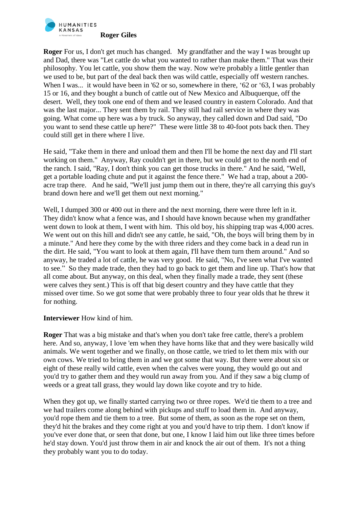

**Roger** For us, I don't get much has changed. My grandfather and the way I was brought up and Dad, there was "Let cattle do what you wanted to rather than make them." That was their philosophy. You let cattle, you show them the way. Now we're probably a little gentler than we used to be, but part of the deal back then was wild cattle, especially off western ranches. When I was... it would have been in '62 or so, somewhere in there, '62 or '63, I was probably 15 or 16, and they bought a bunch of cattle out of New Mexico and Albuquerque, off the desert. Well, they took one end of them and we leased country in eastern Colorado. And that was the last major... They sent them by rail. They still had rail service in where they was going. What come up here was a by truck. So anyway, they called down and Dad said, "Do you want to send these cattle up here?" These were little 38 to 40-foot pots back then. They could still get in there where I live.

He said, "Take them in there and unload them and then I'll be home the next day and I'll start working on them." Anyway, Ray couldn't get in there, but we could get to the north end of the ranch. I said, "Ray, I don't think you can get those trucks in there." And he said, "Well, get a portable loading chute and put it against the fence there." We had a trap, about a 200 acre trap there. And he said, "We'll just jump them out in there, they're all carrying this guy's brand down here and we'll get them out next morning."

Well, I dumped 300 or 400 out in there and the next morning, there were three left in it. They didn't know what a fence was, and I should have known because when my grandfather went down to look at them, I went with him. This old boy, his shipping trap was 4,000 acres. We went out on this hill and didn't see any cattle, he said, "Oh, the boys will bring them by in a minute." And here they come by the with three riders and they come back in a dead run in the dirt. He said, "You want to look at them again, I'll have them turn them around." And so anyway, he traded a lot of cattle, he was very good. He said, "No, I've seen what I've wanted to see." So they made trade, then they had to go back to get them and line up. That's how that all come about. But anyway, on this deal, when they finally made a trade, they sent (these were calves they sent.) This is off that big desert country and they have cattle that they missed over time. So we got some that were probably three to four year olds that he threw it for nothing.

## **Interviewer** How kind of him.

**Roger** That was a big mistake and that's when you don't take free cattle, there's a problem here. And so, anyway, I love 'em when they have horns like that and they were basically wild animals. We went together and we finally, on those cattle, we tried to let them mix with our own cows. We tried to bring them in and we got some that way. But there were about six or eight of these really wild cattle, even when the calves were young, they would go out and you'd try to gather them and they would run away from you. And if they saw a big clump of weeds or a great tall grass, they would lay down like coyote and try to hide.

When they got up, we finally started carrying two or three ropes. We'd tie them to a tree and we had trailers come along behind with pickups and stuff to load them in. And anyway, you'd rope them and tie them to a tree. But some of them, as soon as the rope set on them, they'd hit the brakes and they come right at you and you'd have to trip them. I don't know if you've ever done that, or seen that done, but one, I know I laid him out like three times before he'd stay down. You'd just throw them in air and knock the air out of them. It's not a thing they probably want you to do today.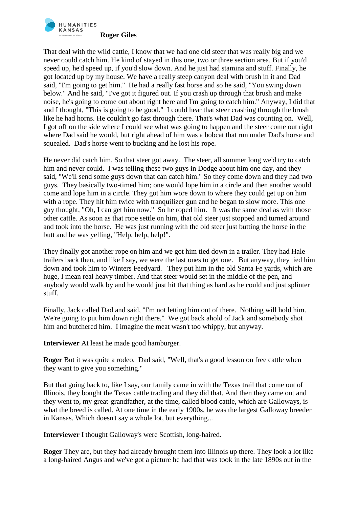

That deal with the wild cattle, I know that we had one old steer that was really big and we never could catch him. He kind of stayed in this one, two or three section area. But if you'd speed up, he'd speed up, if you'd slow down. And he just had stamina and stuff. Finally, he got located up by my house. We have a really steep canyon deal with brush in it and Dad said, "I'm going to get him." He had a really fast horse and so he said, "You swing down below." And he said, "I've got it figured out. If you crash up through that brush and make noise, he's going to come out about right here and I'm going to catch him." Anyway, I did that and I thought, "This is going to be good." I could hear that steer crashing through the brush like he had horns. He couldn't go fast through there. That's what Dad was counting on. Well, I got off on the side where I could see what was going to happen and the steer come out right where Dad said he would, but right ahead of him was a bobcat that run under Dad's horse and squealed. Dad's horse went to bucking and he lost his rope.

He never did catch him. So that steer got away. The steer, all summer long we'd try to catch him and never could. I was telling these two guys in Dodge about him one day, and they said, "We'll send some guys down that can catch him." So they come down and they had two guys. They basically two-timed him; one would lope him in a circle and then another would come and lope him in a circle. They got him wore down to where they could get up on him with a rope. They hit him twice with tranquilizer gun and he began to slow more. This one guy thought, "Oh, I can get him now." So he roped him. It was the same deal as with those other cattle. As soon as that rope settle on him, that old steer just stopped and turned around and took into the horse. He was just running with the old steer just butting the horse in the butt and he was yelling, "Help, help, help!".

They finally got another rope on him and we got him tied down in a trailer. They had Hale trailers back then, and like I say, we were the last ones to get one. But anyway, they tied him down and took him to Winters Feedyard. They put him in the old Santa Fe yards, which are huge, I mean real heavy timber. And that steer would set in the middle of the pen, and anybody would walk by and he would just hit that thing as hard as he could and just splinter stuff.

Finally, Jack called Dad and said, "I'm not letting him out of there. Nothing will hold him. We're going to put him down right there." We got back ahold of Jack and somebody shot him and butchered him. I imagine the meat wasn't too whippy, but anyway.

**Interviewer** At least he made good hamburger.

**Roger** But it was quite a rodeo. Dad said, "Well, that's a good lesson on free cattle when they want to give you something."

But that going back to, like I say, our family came in with the Texas trail that come out of Illinois, they bought the Texas cattle trading and they did that. And then they came out and they went to, my great-grandfather, at the time, called blood cattle, which are Galloways, is what the breed is called. At one time in the early 1900s, he was the largest Galloway breeder in Kansas. Which doesn't say a whole lot, but everything...

**Interviewer** I thought Galloway's were Scottish, long-haired.

**Roger** They are, but they had already brought them into Illinois up there. They look a lot like a long-haired Angus and we've got a picture he had that was took in the late 1890s out in the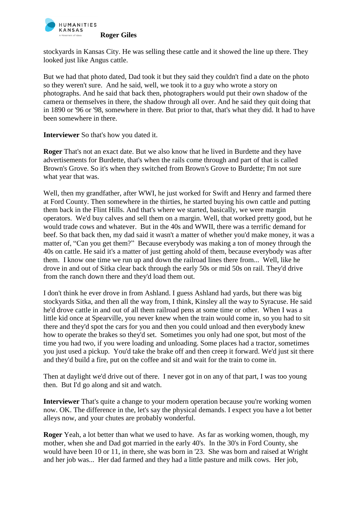

stockyards in Kansas City. He was selling these cattle and it showed the line up there. They looked just like Angus cattle.

But we had that photo dated, Dad took it but they said they couldn't find a date on the photo so they weren't sure. And he said, well, we took it to a guy who wrote a story on photographs. And he said that back then, photographers would put their own shadow of the camera or themselves in there, the shadow through all over. And he said they quit doing that in 1890 or '96 or '98, somewhere in there. But prior to that, that's what they did. It had to have been somewhere in there.

**Interviewer** So that's how you dated it.

**Roger** That's not an exact date. But we also know that he lived in Burdette and they have advertisements for Burdette, that's when the rails come through and part of that is called Brown's Grove. So it's when they switched from Brown's Grove to Burdette; I'm not sure what year that was.

Well, then my grandfather, after WWI, he just worked for Swift and Henry and farmed there at Ford County. Then somewhere in the thirties, he started buying his own cattle and putting them back in the Flint Hills. And that's where we started, basically, we were margin operators. We'd buy calves and sell them on a margin. Well, that worked pretty good, but he would trade cows and whatever. But in the 40s and WWII, there was a terrific demand for beef. So that back then, my dad said it wasn't a matter of whether you'd make money, it was a matter of, "Can you get them?" Because everybody was making a ton of money through the 40s on cattle. He said it's a matter of just getting ahold of them, because everybody was after them. I know one time we run up and down the railroad lines there from... Well, like he drove in and out of Sitka clear back through the early 50s or mid 50s on rail. They'd drive from the ranch down there and they'd load them out.

I don't think he ever drove in from Ashland. I guess Ashland had yards, but there was big stockyards Sitka, and then all the way from, I think, Kinsley all the way to Syracuse. He said he'd drove cattle in and out of all them railroad pens at some time or other. When I was a little kid once at Spearville, you never knew when the train would come in, so you had to sit there and they'd spot the cars for you and then you could unload and then everybody knew how to operate the brakes so they'd set. Sometimes you only had one spot, but most of the time you had two, if you were loading and unloading. Some places had a tractor, sometimes you just used a pickup. You'd take the brake off and then creep it forward. We'd just sit there and they'd build a fire, put on the coffee and sit and wait for the train to come in.

Then at daylight we'd drive out of there. I never got in on any of that part, I was too young then. But I'd go along and sit and watch.

**Interviewer** That's quite a change to your modern operation because you're working women now. OK. The difference in the, let's say the physical demands. I expect you have a lot better alleys now, and your chutes are probably wonderful.

**Roger** Yeah, a lot better than what we used to have. As far as working women, though, my mother, when she and Dad got married in the early 40's. In the 30's in Ford County, she would have been 10 or 11, in there, she was born in '23. She was born and raised at Wright and her job was... Her dad farmed and they had a little pasture and milk cows. Her job,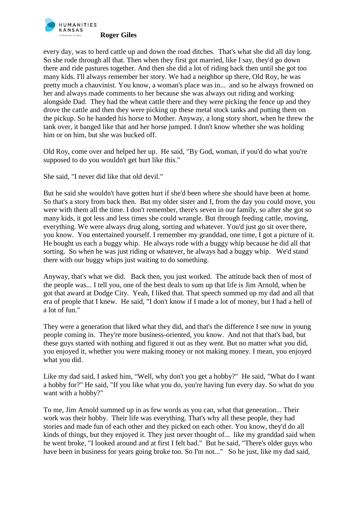

every day, was to herd cattle up and down the road ditches. That's what she did all day long. So she rode through all that. Then when they first got married, like I say, they'd go down there and ride pastures together. And then she did a lot of riding back then until she got too many kids. I'll always remember her story. We had a neighbor up there, Old Roy, he was pretty much a chauvinist. You know, a woman's place was in... and so he always frowned on her and always made comments to her because she was always out riding and working alongside Dad. They had the wheat cattle there and they were picking the fence up and they drove the cattle and then they were picking up these metal stock tanks and putting them on the pickup. So he handed his horse to Mother. Anyway, a long story short, when he threw the tank over, it banged like that and her horse jumped. I don't know whether she was holding him or on him, but she was bucked off.

Old Roy, come over and helped her up. He said, "By God, woman, if you'd do what you're supposed to do you wouldn't get hurt like this."

She said, "I never did like that old devil."

But he said she wouldn't have gotten hurt if she'd been where she should have been at home. So that's a story from back then. But my older sister and I, from the day you could move, you were with them all the time. I don't remember, there's seven in our family, so after she got so many kids, it got less and less times she could wrangle. But through feeding cattle, moving, everything. We were always drug along, sorting and whatever. You'd just go sit over there, you know. You entertained yourself. I remember my granddad, one time, I got a picture of it. He bought us each a buggy whip. He always rode with a buggy whip because he did all that sorting. So when he was just riding or whatever, he always had a buggy whip. We'd stand there with our buggy whips just waiting to do something.

Anyway, that's what we did. Back then, you just worked. The attitude back then of most of the people was... I tell you, one of the best deals to sum up that life is Jim Arnold, when he got that award at Dodge City. Yeah, I liked that. That speech summed up my dad and all that era of people that I knew. He said, "I don't know if I made a lot of money, but I had a hell of a lot of fun."

They were a generation that liked what they did, and that's the difference I see now in young people coming in. They're more business-oriented, you know. And not that that's bad, but these guys started with nothing and figured it out as they went. But no matter what you did, you enjoyed it, whether you were making money or not making money. I mean, you enjoyed what you did.

Like my dad said, I asked him, "Well, why don't you get a hobby?" He said, "What do I want a hobby for?" He said, "If you like what you do, you're having fun every day. So what do you want with a hobby?"

To me, Jim Arnold summed up in as few words as you can, what that generation... Their work was their hobby. Their life was everything. That's why all these people, they had stories and made fun of each other and they picked on each other. You know, they'd do all kinds of things, but they enjoyed it. They just never thought of... like my granddad said when he went broke, "I looked around and at first I felt bad." But he said, "There's older guys who have been in business for years going broke too. So I'm not..." So he just, like my dad said,